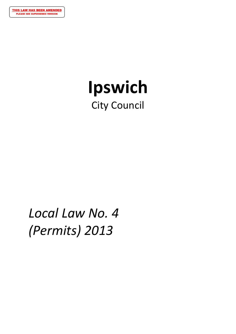

# **Ipswich** City Council

# *Local Law No. 4 (Permits) 2013*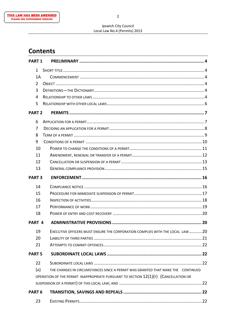# **Contents**

|                   | <b>PART 1</b> |                                                                                       |  |
|-------------------|---------------|---------------------------------------------------------------------------------------|--|
|                   | 1             |                                                                                       |  |
|                   | 1A            |                                                                                       |  |
|                   | 2             |                                                                                       |  |
|                   | 3             |                                                                                       |  |
|                   | 4             |                                                                                       |  |
|                   | 5             |                                                                                       |  |
|                   | <b>PART 2</b> |                                                                                       |  |
|                   | 6             |                                                                                       |  |
|                   | 7             |                                                                                       |  |
|                   | 8             |                                                                                       |  |
|                   | 9             |                                                                                       |  |
|                   | 10            |                                                                                       |  |
|                   | 11            |                                                                                       |  |
|                   | 12            |                                                                                       |  |
|                   | 13            |                                                                                       |  |
|                   | <b>PART 3</b> |                                                                                       |  |
|                   | 14            |                                                                                       |  |
|                   | 15            |                                                                                       |  |
|                   | 16            |                                                                                       |  |
|                   | 17            |                                                                                       |  |
|                   | 18            |                                                                                       |  |
| PART <sub>4</sub> |               |                                                                                       |  |
|                   | 19            | EXECUTIVE OFFICERS MUST ENSURE THE CORPORATION COMPLIES WITH THE LOCAL LAW 20         |  |
|                   | 20            |                                                                                       |  |
|                   | 21            |                                                                                       |  |
|                   | <b>PART 5</b> |                                                                                       |  |
|                   | 22            |                                                                                       |  |
|                   | (A)           | THE CHANGES IN CIRCUMSTANCES SINCE A PERMIT WAS GRANTED THAT MAKE THE CONTINUED       |  |
|                   |               | OPERATION OF THE PERMIT INAPPROPRIATE PURSUANT TO SECTION $12(1)(F)$ (CANCELLATION OR |  |
|                   |               |                                                                                       |  |
| PART <sub>6</sub> |               |                                                                                       |  |
|                   | 23            |                                                                                       |  |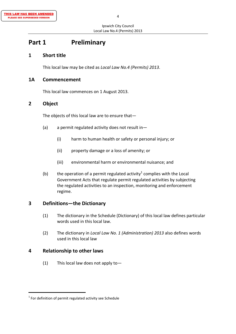# **Part 1 Preliminary**

## **1 Short title**

This local law may be cited as *Local Law No.4 (Permits) 2013*.

### **1A Commencement**

This local law commences on 1 August 2013.

## **2 Object**

The objects of this local law are to ensure that—

- (a) a permit regulated activity does not result in—
	- (i) harm to human health or safety or personal injury; or
	- (ii) property damage or a loss of amenity; or
	- (iii) environmental harm or environmental nuisance; and
- (b) the operation of a permit regulated activity<sup>1</sup> complies with the Local Government Acts that regulate permit regulated activities by subjecting the regulated activities to an inspection, monitoring and enforcement regime.

## **3 Definitions—the Dictionary**

- (1) The dictionary in the Schedule (Dictionary) of this local law defines particular words used in this local law.
- (2) The dictionary in *Local Law No. 1 (Administration) 2013* also defines words used in this local law

## **4 Relationship to other laws**

(1) This local law does not apply to-

 $1$  For definition of permit regulated activity see Schedule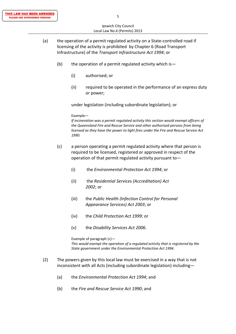- (a) the operation of a permit regulated activity on a State‐controlled road if licensing of the activity is prohibited by Chapter 6 (Road Transport Infrastructure) of the *Transport Infrastructure Act 1994*; or
	- (b) the operation of a permit regulated activity which is  $-$ 
		- (i) authorised; or
		- (ii) required to be operated in the performance of an express duty or power;

under legislation (including subordinate legislation); or

Example—

 *If incineration was a permit regulated activity this section would exempt officers of the Queensland Fire and Rescue Service and other authorised persons from being licensed as they have the power to light fires under the Fire and Rescue Service Act 1990*.

- (c) a person operating a permit regulated activity where that person is required to be licensed, registered or approved in respect of the operation of that permit regulated activity pursuant to—
	- (i) the *Environmental Protection Act 1994*; or
	- (ii) the *Residential Services (Accreditation) Act 2002*; or
	- (iii) the *Public Health (Infection Control for Personal Appearance Services) Act 2003*; or
	- (iv) the *Child Protection Act 1999*; or
	- (v) the *Disability Services Act 2006*.

Example of paragraph  $(c)$ —

 *This would exempt the operation of a regulated activity that is registered by the State government under the Environmental Protection Act 1994.*

- (2) The powers given by this local law must be exercised in a way that is not inconsistent with all Acts (including subordinate legislation) including—
	- (a) the *Environmental Protection Act 1994*; and
	- (b) the *Fire and Rescue Service Act 1990*; and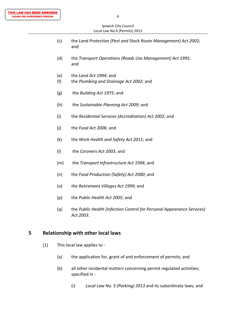- (c) the *Land Protection (Pest and Stock Route Management) Act 2002*; and
- (d) the *Transport Operations (Roads Use Management) Act 1995*; and
- (e) the *Land Act 1994*; and
- (f) the *Plumbing and Drainage Act 2002*; and
- (g) the *Building Act 1975*; and
- (h) the *Sustainable Planning Act 2009*; and
- (i) the *Residential Services (Accreditation) Act 2002*; and
- (j) the *Food Act 2006*; and
- (k) the *Work Health and Safety Act 2011*; and
- (l) the *Coroners Act 2003*; and
- (m) the *Transport Infrastructure Act 1994*; and
- (n) the *Food Production (Safety) Act 2000*; and
- (o) *the Retirement Villages Act 1999*; and
- (p) the *Public Health Act 2005*; and
- (q) the *Public Health (Infection Control for Personal Appearance Services) Act 2003*.

#### **5 Relationship with other local laws**

- (1) This local law applies to ‐
	- (a) the application for, grant of and enforcement of permits; and
	- (b) all other incidental matters concerning permit regulated activities; specified in ‐
		- (i) *Local Law No. 5 (Parking) 2013* and its subordinate laws*;* and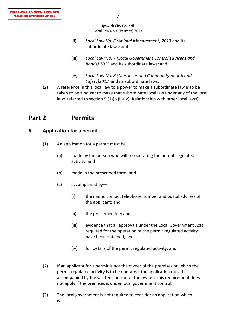|     |                               | Ipswich City Council                                                                                                                                         |  |  |
|-----|-------------------------------|--------------------------------------------------------------------------------------------------------------------------------------------------------------|--|--|
|     | Local Law No.4 (Permits) 2013 |                                                                                                                                                              |  |  |
|     | (ii)                          | Local Law No. 6 (Animal Management) 2013 and its<br>subordinate laws; and                                                                                    |  |  |
|     | (iii)                         | Local Law No. 7 (Local Government Controlled Areas and<br>Roads) 2013 and its subordinate laws; and                                                          |  |  |
|     | (iv)                          | Local Law No. 8 (Nuisances and Community Health and<br>Safety)2013 and its subordinate laws.                                                                 |  |  |
| (2) |                               | A reference in this local law to a power to make a subordinate law is to be<br>taken to be a power to make that subordinate local law under any of the local |  |  |

### laws referred to section 5 (1)(b (i)‐(iv) (Relationship with other local laws)

## **Part 2 Permits**

#### **6 Application for a permit**

- (1) An application for a permit must be-
	- (a) made by the person who will be operating the permit regulated activity; and
	- (b) made in the prescribed form; and
	- (c) accompanied by—
		- (i) the name, contact telephone number and postal address of the applicant; and
		- (ii) the prescribed fee; and
		- (iii) evidence that all approvals under the Local Government Acts required for the operation of the permit regulated activity have been obtained; and
		- (iv) full details of the permit regulated activity; and
- (2) If an applicant for a permit is not the owner of the premises on which the permit regulated activity is to be operated, the application must be accompanied by the written consent of the owner. This requirement does not apply if the premises is under local government control.
- (3) The local government is not required to consider an application which is—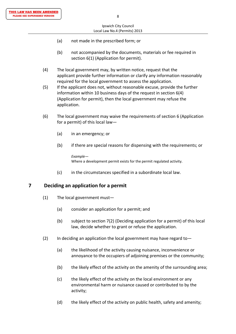- (a) not made in the prescribed form; or
- (b) not accompanied by the documents, materials or fee required in section 6(1) (Application for permit).
- (4) The local government may, by written notice, request that the applicant provide further information or clarify any information reasonably required for the local government to assess the application.
- (5) If the applicant does not, without reasonable excuse, provide the further information within 10 business days of the request in section 6(4) (Application for permit), then the local government may refuse the application.
- (6) The local government may waive the requirements of section 6 (Application for a permit) of this local law—
	- (a) in an emergency; or
	- (b) if there are special reasons for dispensing with the requirements; or

 *Example—* Where a development permit exists for the permit regulated activity.

(c) in the circumstances specified in a subordinate local law.

## **7 Deciding an application for a permit**

- (1) The local government must—
	- (a) consider an application for a permit; and
	- (b) subject to section 7(2) (Deciding application for a permit) of this local law, decide whether to grant or refuse the application.
- (2) In deciding an application the local government may have regard to—
	- (a) the likelihood of the activity causing nuisance, inconvenience or annoyance to the occupiers of adjoining premises or the community;
	- (b) the likely effect of the activity on the amenity of the surrounding area;
	- (c) the likely effect of the activity on the local environment or any environmental harm or nuisance caused or contributed to by the activity;
	- (d) the likely effect of the activity on public health, safety and amenity;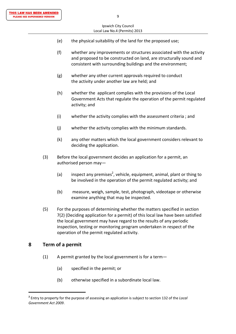- (e) the physical suitability of the land for the proposed use;
- (f) whether any improvements or structures associated with the activity and proposed to be constructed on land, are structurally sound and consistent with surrounding buildings and the environment;
- (g) whether any other current approvals required to conduct the activity under another law are held; and
- (h) whether the applicant complies with the provisions of the Local Government Acts that regulate the operation of the permit regulated activity; and
- (i) whether the activity complies with the assessment criteria ; and
- (j) whether the activity complies with the minimum standards.
- (k) any other matters which the local government considers relevant to deciding the application.
- (3) Before the local government decides an application for a permit, an authorised person may—
- (a) inspect any premises<sup>2</sup>, vehicle, equipment, animal, plant or thing to be involved in the operation of the permit regulated activity; and
	- (b) measure, weigh, sample, test, photograph, videotape or otherwise examine anything that may be inspected.
	- (5) For the purposes of determining whether the matters specified in section 7(2) (Deciding application for a permit) of this local law have been satisfied the local government may have regard to the results of any periodic inspection, testing or monitoring program undertaken in respect of the operation of the permit regulated activity.

## **8 Term of a permit**

- $(1)$  A permit granted by the local government is for a term-
	- (a) specified in the permit; or
	- (b) otherwise specified in a subordinate local law.

**<sup>2</sup>** Entry to property for the purpose of assessing an application is subject to section 132 of the *Local Government Act 2009*.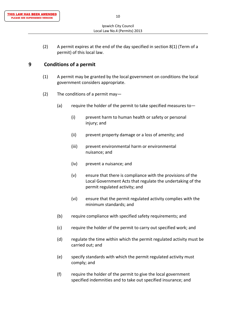(2) A permit expires at the end of the day specified in section 8(1) (Term of a permit) of this local law.

## **9 Conditions of a permit**

- (1) A permit may be granted by the local government on conditions the local government considers appropriate.
- (2) The conditions of a permit may-
	- (a) require the holder of the permit to take specified measures to  $-$ 
		- (i) prevent harm to human health or safety or personal injury; and
		- (ii) prevent property damage or a loss of amenity; and
		- (iii) prevent environmental harm or environmental nuisance; and
		- (iv) prevent a nuisance; and
		- (v) ensure that there is compliance with the provisions of the Local Government Acts that regulate the undertaking of the permit regulated activity; and
		- (vi) ensure that the permit regulated activity complies with the minimum standards; and
	- (b) require compliance with specified safety requirements; and
	- (c) require the holder of the permit to carry out specified work; and
	- (d) regulate the time within which the permit regulated activity must be carried out; and
	- (e) specify standards with which the permit regulated activity must comply; and
	- (f) require the holder of the permit to give the local government specified indemnities and to take out specified insurance; and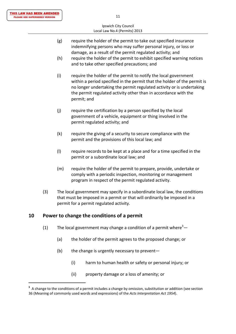- (g) require the holder of the permit to take out specified insurance indemnifying persons who may suffer personal injury, or loss or damage, as a result of the permit regulated activity; and
- (h) require the holder of the permit to exhibit specified warning notices and to take other specified precautions; and
- (i) require the holder of the permit to notify the local government within a period specified in the permit that the holder of the permit is no longer undertaking the permit regulated activity or is undertaking the permit regulated activity other than in accordance with the permit; and
- (j) require the certification by a person specified by the local government of a vehicle, equipment or thing involved in the permit regulated activity; and
- (k) require the giving of a security to secure compliance with the permit and the provisions of this local law; and
- (l) require records to be kept at a place and for a time specified in the permit or a subordinate local law; and
- (m) require the holder of the permit to prepare, provide, undertake or comply with a periodic inspection, monitoring or management program in respect of the permit regulated activity.
- (3) The local government may specify in a subordinate local law, the conditions that must be imposed in a permit or that will ordinarily be imposed in a permit for a permit regulated activity.

## **10 Power to change the conditions of a permit**

- (1) The local government may change a condition of a permit where<sup>3</sup> $-$ 
	- (a) the holder of the permit agrees to the proposed change; or
	- (b) the change is urgently necessary to prevent—
		- (i) harm to human health or safety or personal injury; or
		- (ii) property damage or a loss of amenity; or

**<sup>3</sup>** A change to the conditions of a permit includes a change by omission, substitution or addition (see section 36 (Meaning of commonly used words and expressions) of the *Acts Interpretation Act 1954*).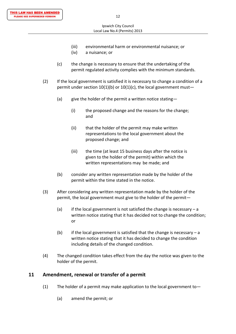- (iii) environmental harm or environmental nuisance; or
- (iv) a nuisance; or
- (c) the change is necessary to ensure that the undertaking of the permit regulated activity complies with the minimum standards.
- (2) If the local government is satisfied it is necessary to change a condition of a permit under section 10(1)(b) or 10(1)(c), the local government must-
	- (a)  $\qquad$  give the holder of the permit a written notice stating-
- (i) the proposed change and the reasons for the change; and the contract of the contract of the contract of the contract of the contract of the contract of the contract of the contract of the contract of the contract of the contract of the contract of the contract of the contra
	- (ii) that the holder of the permit may make written representations to the local government about the proposed change; and
	- (iii) the time (at least 15 business days after the notice is given to the holder of the permit) within which the written representations may be made; and
	- (b) consider any written representation made by the holder of the permit within the time stated in the notice.
	- (3) After considering any written representation made by the holder of the permit, the local government must give to the holder of the permit—
- (a) if the local government is not satisfied the change is necessary a written notice stating that it has decided not to change the condition; **or** *or or* 
	- (b) if the local government is satisfied that the change is necessary a written notice stating that it has decided to change the condition including details of the changed condition.
	- (4) The changed condition takes effect from the day the notice was given to the holder of the permit.

#### **11 Amendment, renewal or transfer of a permit**

- (1) The holder of a permit may make application to the local government to-
	- (a) amend the permit; or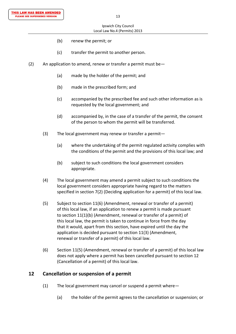- (b) renew the permit; or
- (c) transfer the permit to another person.
- (2) An application to amend, renew or transfer a permit must be  $-$ 
	- (a) made by the holder of the permit; and
	- (b) made in the prescribed form; and
	- (c) accompanied by the prescribed fee and such other information as is requested by the local government; and
	- (d) accompanied by, in the case of a transfer of the permit, the consent of the person to whom the permit will be transferred.
	- (3) The local government may renew or transfer a permit—
		- (a) where the undertaking of the permit regulated activity complies with the conditions of the permit and the provisions of this local law; and
		- (b) subject to such conditions the local government considers appropriate.
	- (4) The local government may amend a permit subject to such conditions the local government considers appropriate having regard to the matters specified in section 7(2) (Deciding application for a permit) of this local law.
	- (5) Subject to section 11(6) (Amendment, renewal or transfer of a permit) of this local law, if an application to renew a permit is made pursuant to section 11(1)(b) (Amendment, renewal or transfer of a permit) of this local law, the permit is taken to continue in force from the day that it would, apart from this section, have expired until the day the application is decided pursuant to section 11(3) (Amendment, renewal or transfer of a permit) of this local law.
	- (6) Section 11(5) (Amendment, renewal or transfer of a permit) of this local law does not apply where a permit has been cancelled pursuant to section 12 (Cancellation of a permit) of this local law.

## **12 Cancellation or suspension of a permit**

- (1) The local government may cancel or suspend a permit where—
	- (a) the holder of the permit agrees to the cancellation or suspension; or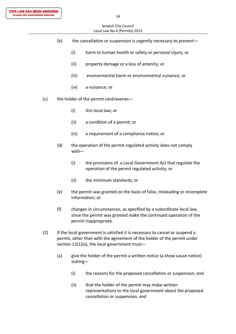- (b) the cancellation or suspension is urgently necessary to prevent—
	- (i) harm to human health or safety or personal injury; or
	- (ii) property damage or a loss of amenity; or
	- (iii) environmental harm or environmental nuisance; or
	- (iv) a nuisance; or
- (c) the holder of the permit contravenes—
	- (i) this local law; or
	- (ii) a condition of a permit; or
	- (iii) a requirement of a compliance notice; or
	- (d) the operation of the permit regulated activity does not comply with—
		- (i) the provisions of a Local Government Act that regulate the operation of the permit regulated activity; or
		- (ii) the minimum standards; or
	- (e) the permit was granted on the basis of false, misleading or incomplete information; or
	- (f) changes in circumstances, as specified by a subordinate local law, since the permit was granted make the continued operation of the permit inappropriate.
- (2) If the local government is satisfied it is necessary to cancel or suspend a permit, other than with the agreement of the holder of the permit under section  $12(1)(a)$ , the local government must-
	- (a) give the holder of the permit a written notice (a show cause notice) stating—
		- (i) the reasons for the proposed cancellation or suspension; and
		- (ii) that the holder of the permit may make written representations to the local government about the proposed cancellation or suspension; and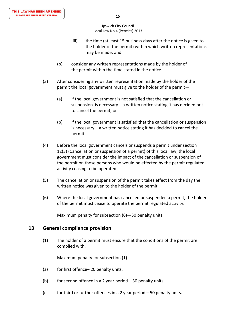- (iii) the time (at least 15 business days after the notice is given to the holder of the permit) within which written representations may be made; and
- (b) consider any written representations made by the holder of the permit within the time stated in the notice.
- (3) After considering any written representation made by the holder of the permit the local government must give to the holder of the permit—
	- (a) if the local government is not satisfied that the cancellation or suspension is necessary – a written notice stating it has decided not to cancel the permit; or
	- (b) if the local government is satisfied that the cancellation or suspension is necessary – a written notice stating it has decided to cancel the permit.
- (4) Before the local government cancels or suspends a permit under section 12(3) (Cancellation or suspension of a permit) of this local law, the local government must consider the impact of the cancellation or suspension of the permit on those persons who would be effected by the permit regulated activity ceasing to be operated.
- (5) The cancellation or suspension of the permit takes effect from the day the written notice was given to the holder of the permit.
- (6) Where the local government has cancelled or suspended a permit, the holder of the permit must cease to operate the permit regulated activity.

Maximum penalty for subsection (6)—50 penalty units.

## **13 General compliance provision**

(1) The holder of a permit must ensure that the conditions of the permit are complied with.

Maximum penalty for subsection  $(1)$  –

- (a) for first offence– 20 penalty units.
- (b) for second offence in a 2 year period  $-30$  penalty units.
- (c) for third or further offences in a 2 year period  $-50$  penalty units.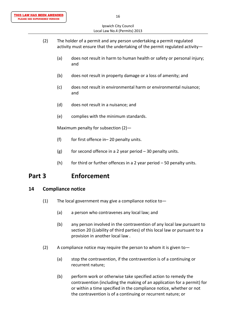- (2) The holder of a permit and any person undertaking a permit regulated activity must ensure that the undertaking of the permit regulated activity—
	- (a) does not result in harm to human health or safety or personal injury; and
	- (b) does not result in property damage or a loss of amenity; and
	- (c) does not result in environmental harm or environmental nuisance; and
	- (d) does not result in a nuisance; and
	- (e) complies with the minimum standards.

Maximum penalty for subsection (2)—

- (f) for first offence in– 20 penalty units.
- (g) for second offence in a 2 year period  $-30$  penalty units.
- (h) for third or further offences in a 2 year period  $-50$  penalty units.

# **Part 3 Enforcement**

## **14 Compliance notice**

- $(1)$  The local government may give a compliance notice to-
	- (a) a person who contravenes any local law; and
	- (b) any person involved in the contravention of any local law pursuant to section 20 (Liability of third parties) of this local law or pursuant to a provision in another local law .
- (2) A compliance notice may require the person to whom it is given to  $-$ 
	- (a) stop the contravention, if the contravention is of a continuing or recurrent nature;
	- (b) perform work or otherwise take specified action to remedy the contravention (including the making of an application for a permit) for or within a time specified in the compliance notice, whether or not the contravention is of a continuing or recurrent nature; or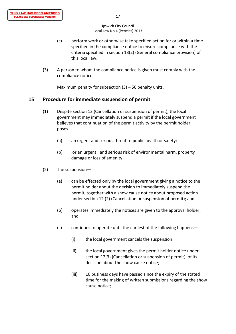- (c) perform work or otherwise take specified action for or within a time specified in the compliance notice to ensure compliance with the criteria specified in section 13(2) (General compliance provision) of this local law.
- (3) A person to whom the compliance notice is given must comply with the compliance notice.

Maximum penalty for subsection  $(3)$  – 50 penalty units.

#### **15 Procedure for immediate suspension of permit**

- (1) Despite section 12 (Cancellation or suspension of permit), the local government may immediately suspend a permit if the local government believes that continuation of the permit activity by the permit holder poses—
	- (a) an urgent and serious threat to public health or safety;
	- (b) or an urgent and serious risk of environmental harm, property damage or loss of amenity.
- (2) The suspension—
	- (a) can be effected only by the local government giving a notice to the permit holder about the decision to immediately suspend the permit, together with a show cause notice about proposed action under section 12 (2) (Cancellation or suspension of permit); and
	- (b) operates immediately the notices are given to the approval holder; and
	- (c) continues to operate until the earliest of the following happens—
		- (i) the local government cancels the suspension;
		- (ii) the local government gives the permit holder notice under section 12(3) (Cancellation or suspension of permit) of its decision about the show cause notice;
		- (iii) 10 business days have passed since the expiry of the stated time for the making of written submissions regarding the show cause notice;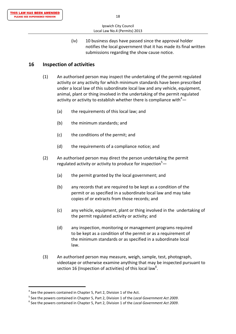(iv) 10 business days have passed since the approval holder notifies the local government that it has made its final written submissions regarding the show cause notice.

## **16 Inspection of activities**

- (1) An authorised person may inspect the undertaking of the permit regulated activity or any activity for which minimum standards have been prescribed under a local law of this subordinate local law and any vehicle, equipment, animal, plant or thing involved in the undertaking of the permit regulated activity or activity to establish whether there is compliance with $4-$ 
	- (a) the requirements of this local law; and
	- (b) the minimum standards; and
	- (c) the conditions of the permit; and
	- (d) the requirements of a compliance notice; and
	- (2) An authorised person may direct the person undertaking the permit regulated activity or activity to produce for inspection<sup>5</sup>-
		- (a) the permit granted by the local government; and
		- (b) any records that are required to be kept as a condition of the permit or as specified in a subordinate local law and may take copies of or extracts from those records; and
		- (c) any vehicle, equipment, plant or thing involved in the undertaking of the permit regulated activity or activity; and
		- (d) any inspection, monitoring or management programs required to be kept as a condition of the permit or as a requirement of the minimum standards or as specified in a subordinate local law.
- (3) An authorised person may measure, weigh, sample, test, photograph, videotape or otherwise examine anything that may be inspected pursuant to section 16 (Inspection of activities) of this local law<sup>6</sup>.

 $4$  See the powers contained in Chapter 5, Part 2, Division 1 of the Act.

<sup>&</sup>lt;sup>5</sup> See the powers contained in Chapter 5, Part 2, Division 1 of the Local Government Act 2009.<br><sup>6</sup> See the powers contained in Chapter 5, Part 2, Division 1 of the Local Government Act 2009.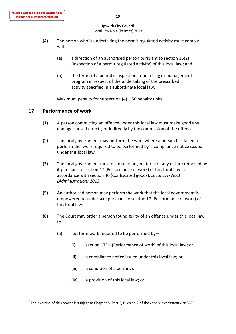- (4) The person who is undertaking the permit regulated activity must comply with—
	- (a) a direction of an authorised person pursuant to section 16(2) (Inspection of a permit regulated activity) of this local law; and
	- (b) the terms of a periodic inspection, monitoring or management program in respect of the undertaking of the prescribed activity specified in a subordinate local law.

Maximum penalty for subsection  $(4)$  – 50 penalty units.

#### **17 Performance of work**

- (1) A person committing an offence under this local law must make good any damage caused directly or indirectly by the commission of the offence.
- (2) The local government may perform the work where a person has failed to perform the work required to be performed by<sup>7</sup>a compliance notice issued under this local law.
	- (3) The local government must dispose of any material of any nature removed by it pursuant to section 17 (Performance of work) of this local law in accordance with section 40 (Confiscated goods), *Local Law No.1 (Administration) 2013*.
	- (5) An authorised person may perform the work that the local government is empowered to undertake pursuant to section 17 (Performance of work) of this local law.
	- (6) The Court may order a person found guilty of an offence under this local law to—
		- (a) perform work required to be performed by-
			- (i) section 17(1) (Performance of work) of this local law; or
			- (ii) a compliance notice issued under this local law; or
			- (iii) a condition of a permit; or
			- (iv) a provision of this local law; or

<sup>7</sup> The exercise of this power is subject to Chapter 5, Part 2, Division 2 of the *Local Government Act 2009*.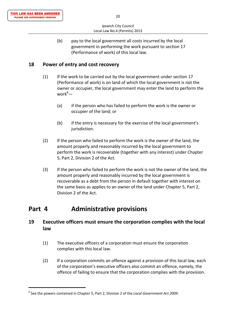(b) pay to the local government all costs incurred by the local government in performing the work pursuant to section 17 (Performance of work) of this local law.

## **18 Power of entry and cost recovery**

- (1) If the work to be carried out by the local government under section 17 (Performance of work) is on land of which the local government is not the owner or occupier, the local government may enter the land to perform the work $^{8}-$ 
	- (a) if the person who has failed to perform the work is the owner or occupier of the land; or
	- (b) if the entry is necessary for the exercise of the local government's jurisdiction.
- (2) If the person who failed to perform the work is the owner of the land, the amount properly and reasonably incurred by the local government to perform the work is recoverable (together with any interest) under Chapter 5, Part 2, Division 2 of the Act.
- (3) If the person who failed to perform the work is not the owner of the land, the amount properly and reasonably incurred by the local government is recoverable as a debt from the person in default together with interest on the same basis as applies to an owner of the land under Chapter 5, Part 2, Division 2 of the Act.

# **Part 4 Administrative provisions**

## **19 Executive officers must ensure the corporation complies with the local law**

- (1) The executive officers of a corporation must ensure the corporation complies with this local law.
- (2) If a corporation commits an offence against a provision of this local law, each of the corporation's executive officers also commit an offence, namely, the offence of failing to ensure that the corporation complies with the provision.

<sup>8</sup> See the powers contained in Chapter 5, Part 2, Division 2 of the *Local Government Act 2009*.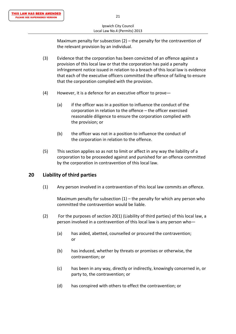Maximum penalty for subsection (2) – the penalty for the contravention of the relevant provision by an individual.

- (3) Evidence that the corporation has been convicted of an offence against a provision of this local law or that the corporation has paid a penalty infringement notice issued in relation to a breach of this local law is evidence that each of the executive officers committed the offence of failing to ensure that the corporation complied with the provision.
- (4) However, it is a defence for an executive officer to prove—
	- (a) if the officer was in a position to influence the conduct of the corporation in relation to the offence – the officer exercised reasonable diligence to ensure the corporation complied with the provision; or
	- (b) the officer was not in a position to influence the conduct of the corporation in relation to the offence.
- (5) This section applies so as not to limit or affect in any way the liability of a corporation to be proceeded against and punished for an offence committed by the corporation in contravention of this local law.

## **20 Liability of third parties**

(1) Any person involved in a contravention of this local law commits an offence.

Maximum penalty for subsection  $(1)$  – the penalty for which any person who committed the contravention would be liable.

- (2) For the purposes of section 20(1) (Liability of third parties) of this local law, a person involved in a contravention of this local law is any person who—
- (a) has aided, abetted, counselled or procured the contravention; **or** *or or* 
	- (b) has induced, whether by threats or promises or otherwise, the contravention; or
	- (c) has been in any way, directly or indirectly, knowingly concerned in, or party to, the contravention; or
	- (d) has conspired with others to effect the contravention; or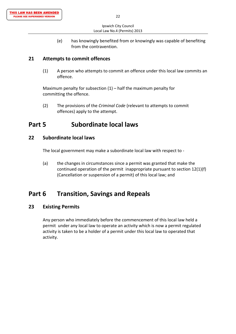(e) has knowingly benefited from or knowingly was capable of benefiting from the contravention.

## **21 Attempts to commit offences**

(1) A person who attempts to commit an offence under this local law commits an offence.

Maximum penalty for subsection  $(1)$  – half the maximum penalty for committing the offence.

(2) The provisions of the *Criminal Code* (relevant to attempts to commit offences) apply to the attempt.

# **Part 5 Subordinate local laws**

## **22 Subordinate local laws**

The local government may make a subordinate local law with respect to ‐

(a) the changes in circumstances since a permit was granted that make the continued operation of the permit inappropriate pursuant to section 12(1)(f) (Cancellation or suspension of a permit) of this local law; and

# **Part 6 Transition, Savings and Repeals**

## **23 Existing Permits**

Any person who immediately before the commencement of this local law held a permit under any local law to operate an activity which is now a permit regulated activity is taken to be a holder of a permit under this local law to operated that activity.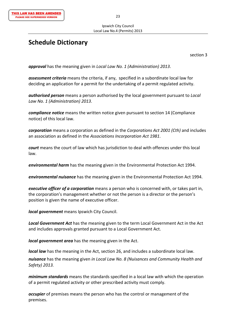# **Schedule Dictionary**

section 3

*approval* has the meaning given in *Local Law No. 1 (Administration) 2013*.

*assessment criteria* means the criteria, if any, specified in a subordinate local law for deciding an application for a permit for the undertaking of a permit regulated activity.

*authorised person* means a person authorised by the local government pursuant to *Local Law No. 1 (Administration) 2013*.

*compliance notice* means the written notice given pursuant to section 14 (Compliance notice) of this local law.

*corporation* means a corporation as defined in the *Corporations Act 2001 (Cth)* and includes an association as defined in the *Associations Incorporation Act 1981*.

*court* means the court of law which has jurisdiction to deal with offences under this local law.

*environmental harm* has the meaning given in the Environmental Protection Act 1994.

*environmental nuisance* has the meaning given in the Environmental Protection Act 1994.

*executive officer of a corporation* means a person who is concerned with, or takes part in, the corporation's management whether or not the person is a director or the person's position is given the name of executive officer.

*local government* means Ipswich City Council.

*Local Government Act* has the meaning given to the term Local Government Act in the Act and includes approvals granted pursuant to a Local Government Act.

*local government area* has the meaning given in the Act.

*local law* has the meaning in the Act, section 26, and includes a subordinate local law.

*nuisance* has the meaning given *in Local Law No. 8 (Nuisances and Community Health and Safety) 2013.*

*minimum standards* means the standards specified in a local law with which the operation of a permit regulated activity or other prescribed activity must comply.

*occupier* of premises means the person who has the control or management of the premises.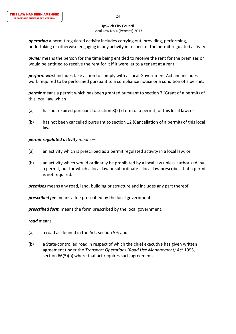*operating* a permit regulated activity includes carrying out, providing, performing, undertaking or otherwise engaging in any activity in respect of the permit regulated activity.

*owner* means the person for the time being entitled to receive the rent for the premises or would be entitled to receive the rent for it if it were let to a tenant at a rent.

*perform work* includes take action to comply with a Local Government Act and includes work required to be performed pursuant to a compliance notice or a condition of a permit.

*permit* means a permit which has been granted pursuant to section 7 (Grant of a permit) of this local law which—

- (a) has not expired pursuant to section 8(2) (Term of a permit) of this local law; or
- (b) has not been cancelled pursuant to section 12 (Cancellation of a permit) of this local law.

#### *permit regulated activity means—*

- (a) an activity which is prescribed as a permit regulated activity in a local law; or
- (b) an activity which would ordinarily be prohibited by a local law unless authorized by a permit, but for which a local law or subordinate local law prescribes that a permit is not required.

*premises* means any road, land, building or structure and includes any part thereof.

*prescribed fee* means a fee prescribed by the local government.

*prescribed form* means the form prescribed by the local government.

*road* means —

- (a) a road as defined in the Act, section 59; and
- (b) a State‐controlled road in respect of which the chief executive has given written agreement under the *Transport Operations (Road Use Management) Act* 1995, section 66(5)(b) where that act requires such agreement.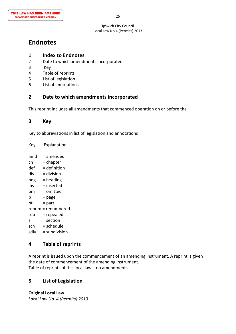# **Endnotes**

- **1 Index to Endnotes**
- 2 Date to which amendments incorporated
- 3 Key
- 4 Table of reprints
- 5 List of legislation
- 6 List of annotations

## **2 Date to which amendments incorporated**

This reprint includes all amendments that commenced operation on or before the

## **3 Key**

Key to abbreviations in list of legislation and annotations

Key Explanation

 $amd = amended$  $ch = chapter$  $def = definition$  $div = division$  $hdg =$  heading  $ins = inserted$ om = omitted  $p = page$  $pt = part$ renum = renumbered rep = repealed  $s = section$  $sch = schedule$ sdiv = subdivision

## **4 Table of repri**n**ts**

A reprint is issued upon the commencement of an amending instrument. A reprint is given the date of commencement of the amending instrument. Table of reprints of this local law – no amendments

## **5 List of Legislation**

**Original Local Law** *Local Law No. 4 (Permits) 2013*